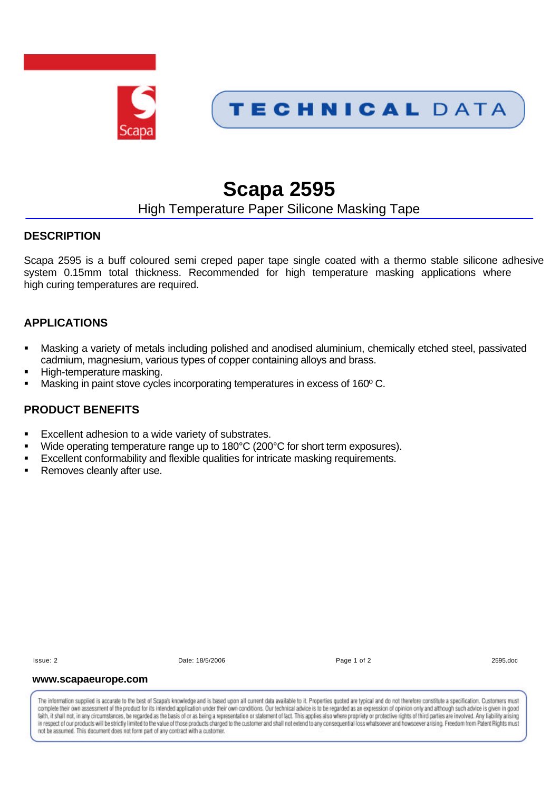

# **Scapa 2595**

## High Temperature Paper Silicone Masking Tape

## **DESCRIPTION**

Scapa 2595 is a buff coloured semi creped paper tape single coated with a thermo stable silicone adhesive system 0.15mm total thickness. Recommended for high temperature masking applications where high curing temperatures are required.

## **APPLICATIONS**

- **•** Masking a variety of metals including polished and anodised aluminium, chemically etched steel, passivated cadmium, magnesium, various types of copper containing alloys and brass.
- ß High-temperature masking.
- Masking in paint stove cycles incorporating temperatures in excess of 160°C.

## **PRODUCT BENEFITS**

- Excellent adhesion to a wide variety of substrates.
- Wide operating temperature range up to 180°C (200°C for short term exposures).
- ß Excellent conformability and flexible qualities for intricate masking requirements.
- Removes cleanly after use.

Issue: 2 Date: 18/5/2006 Page 1 of 2 2595.doc

#### **www.scapaeurope.com**

The information supplied is accurate to the best of Scapa's knowledge and is based upon all current data available to it. Properties quoted are typical and do not therefore constitute a specification. Customers must complete their own assessment of the product for its intended application under their own conditions. Our technical advice is to be regarded as an expression of opinion only and although such advice is given in good taith, it shall not, in any circumstances, be regarded as the basis of or as being a representation or statement of fact. This applies also where propriety or protective rights of third parties are involved. Any liability in respect of our products will be strictly limited to the value of those products charged to the customer and shall not extend to any consequential loss whatsoever and howsoever arising. Freedom from Patent Rights must not be assumed. This document does not form part of any contract with a customer.